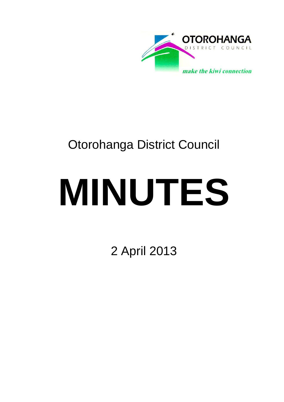

## Otorohanga District Council

# **MINUTES**

2 April 2013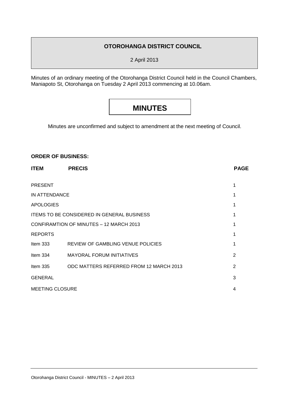#### **OTOROHANGA DISTRICT COUNCIL**

2 April 2013

Minutes of an ordinary meeting of the Otorohanga District Council held in the Council Chambers, Maniapoto St, Otorohanga on Tuesday 2 April 2013 commencing at 10.06am.

### **MINUTES**

Minutes are unconfirmed and subject to amendment at the next meeting of Council.

#### **ORDER OF BUSINESS:**

| <b>ITEM</b>                                       | <b>PRECIS</b>                           | <b>PAGE</b> |
|---------------------------------------------------|-----------------------------------------|-------------|
| <b>PRESENT</b>                                    |                                         |             |
| IN ATTENDANCE                                     |                                         |             |
| <b>APOLOGIES</b>                                  |                                         |             |
| <b>ITEMS TO BE CONSIDERED IN GENERAL BUSINESS</b> |                                         |             |
| CONFIRAMTION OF MINUTES - 12 MARCH 2013           |                                         |             |
| <b>REPORTS</b>                                    |                                         |             |
| Item $333$                                        | REVIEW OF GAMBLING VENUE POLICIES       | 1           |
| Item 334                                          | <b>MAYORAL FORUM INITIATIVES</b>        | 2           |
| Item $335$                                        | ODC MATTERS REFERRED FROM 12 MARCH 2013 | 2           |
| <b>GENERAL</b>                                    |                                         | 3           |
| <b>MEETING CLOSURE</b>                            |                                         | 4           |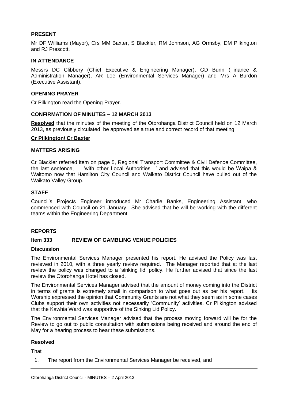#### **PRESENT**

Mr DF Williams (Mayor), Crs MM Baxter, S Blackler, RM Johnson, AG Ormsby, DM Pilkington and RJ Prescott.

#### **IN ATTENDANCE**

Messrs DC Clibbery (Chief Executive & Engineering Manager), GD Bunn (Finance & Administration Manager), AR Loe (Environmental Services Manager) and Mrs A Burdon (Executive Assistant).

#### **OPENING PRAYER**

Cr Pilkington read the Opening Prayer.

#### **CONFIRMATION OF MINUTES – 12 MARCH 2013**

**Resolved** that the minutes of the meeting of the Otorohanga District Council held on 12 March 2013, as previously circulated, be approved as a true and correct record of that meeting.

#### **Cr Pilkington/ Cr Baxter**

#### **MATTERS ARISING**

Cr Blackler referred item on page 5, Regional Transport Committee & Civil Defence Committee, the last sentence, … 'with other Local Authorities…' and advised that this would be Waipa & Waitomo now that Hamilton City Council and Waikato District Council have pulled out of the Waikato Valley Group.

#### **STAFF**

Council's Projects Engineer introduced Mr Charlie Banks, Engineering Assistant, who commenced with Council on 21 January. She advised that he will be working with the different teams within the Engineering Department.

#### **REPORTS**

#### **Item 333 REVIEW OF GAMBLING VENUE POLICIES**

#### **Discussion**

The Environmental Services Manager presented his report. He advised the Policy was last reviewed in 2010, with a three yearly review required. The Manager reported that at the last review the policy was changed to a 'sinking lid' policy. He further advised that since the last review the Otorohanga Hotel has closed.

The Environmental Services Manager advised that the amount of money coming into the District in terms of grants is extremely small in comparison to what goes out as per his report. His Worship expressed the opinion that Community Grants are not what they seem as in some cases Clubs support their own activities not necessarily 'Community' activities. Cr Pilkington advised that the Kawhia Ward was supportive of the Sinking Lid Policy.

The Environmental Services Manager advised that the process moving forward will be for the Review to go out to public consultation with submissions being received and around the end of May for a hearing process to hear these submissions.

#### **Resolved**

**That** 

1. The report from the Environmental Services Manager be received, and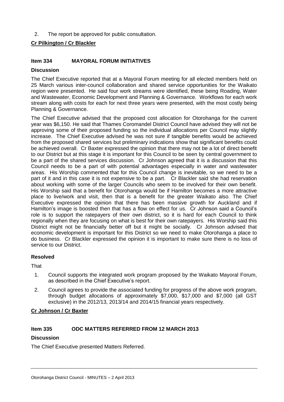2. The report be approved for public consultation.

#### **Cr Pilkington / Cr Blackler**

#### **Item 334 MAYORAL FORUM INITIATIVES**

#### **Discussion**

The Chief Executive reported that at a Mayoral Forum meeting for all elected members held on 25 March various inter-council collaboration and shared service opportunities for the Waikato region were presented. He said four work streams were identified, these being Roading, Water and Wastewater, Economic Development and Planning & Governance. Workflows for each work stream along with costs for each for next three years were presented, with the most costly being Planning & Governance.

The Chief Executive advised that the proposed cost allocation for Otorohanga for the current year was \$6,150. He said that Thames Coromandel District Council have advised they will not be approving some of their proposed funding so the individual allocations per Council may slightly increase. The Chief Executive advised he was not sure if tangible benefits would be achieved from the proposed shared services but preliminary indications show that significant benefits could be achieved overall. Cr Baxter expressed the opinion that there may not be a lot of direct benefit to our District but at this stage it is important for this Council to be seen by central government to be a part of the shared services discussion. Cr Johnson agreed that it is a discussion that this Council needs to be a part of with potential advantages especially in water and wastewater areas. His Worship commented that for this Council change is inevitable, so we need to be a part of it and in this case it is not expensive to be a part. Cr Blackler said she had reservation about working with some of the larger Councils who seem to be involved for their own benefit. His Worship said that a benefit for Otorohanga would be if Hamilton becomes a more attractive place to live/work and visit, then that is a benefit for the greater Waikato also. The Chief Executive expressed the opinion that there has been massive growth for Auckland and if Hamilton's image is boosted then that has a flow on effect for us. Cr Johnson said a Council's role is to support the ratepayers of their own district, so it is hard for each Council to think regionally when they are focusing on what is best for their own ratepayers. His Worship said this District might not be financially better off but it might be socially. Cr Johnson advised that economic development is important for this District so we need to make Otorohanga a place to do business. Cr Blackler expressed the opinion it is important to make sure there is no loss of service to our District.

#### **Resolved**

**That** 

- 1. Council supports the integrated work program proposed by the Waikato Mayoral Forum, as described in the Chief Executive's report.
- 2. Council agrees to provide the associated funding for progress of the above work program, through budget allocations of approximately \$7,000, \$17,000 and \$7,000 (all GST exclusive) in the 2012/13, 2013/14 and 2014/15 financial years respectively.

#### **Cr Johnson / Cr Baxter**

#### **Item 335 ODC MATTERS REFERRED FROM 12 MARCH 2013**

#### **Discussion**

The Chief Executive presented Matters Referred.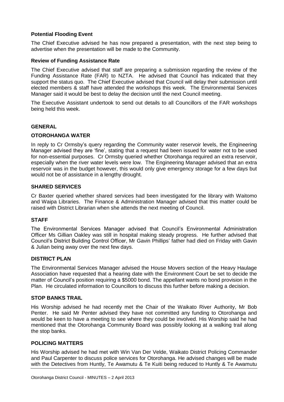#### **Potential Flooding Event**

The Chief Executive advised he has now prepared a presentation, with the next step being to advertise when the presentation will be made to the Community.

#### **Review of Funding Assistance Rate**

The Chief Executive advised that staff are preparing a submission regarding the review of the Funding Assistance Rate (FAR) to NZTA. He advised that Council has indicated that they support the status quo. The Chief Executive advised that Council will delay their submission until elected members & staff have attended the workshops this week. The Environmental Services Manager said it would be best to delay the decision until the next Council meeting.

The Executive Assistant undertook to send out details to all Councillors of the FAR workshops being held this week.

#### **GENERAL**

#### **OTOROHANGA WATER**

In reply to Cr Ormsby's query regarding the Community water reservoir levels, the Engineering Manager advised they are 'fine', stating that a request had been issued for water not to be used for non-essential purposes. Cr Ormsby queried whether Otorohanga required an extra reservoir, especially when the river water levels were low. The Engineering Manager advised that an extra reservoir was in the budget however, this would only give emergency storage for a few days but would not be of assistance in a lengthy drought.

#### **SHARED SERVICES**

Cr Baxter queried whether shared services had been investigated for the library with Waitomo and Waipa Libraries. The Finance & Administration Manager advised that this matter could be raised with District Librarian when she attends the next meeting of Council.

#### **STAFF**

The Environmental Services Manager advised that Council's Environmental Administration Officer Ms Gillian Oakley was still in hospital making steady progress. He further advised that Council's District Building Control Officer, Mr Gavin Phillips' father had died on Friday with Gavin & Julian being away over the next few days.

#### **DISTRICT PLAN**

The Environmental Services Manager advised the House Movers section of the Heavy Haulage Association have requested that a hearing date with the Environment Court be set to decide the matter of Council's position requiring a \$5000 bond. The appellant wants no bond provision in the Plan. He circulated information to Councillors to discuss this further before making a decision.

#### **STOP BANKS TRAIL**

His Worship advised he had recently met the Chair of the Waikato River Authority, Mr Bob Penter. He said Mr Penter advised they have not committed any funding to Otorohanga and would be keen to have a meeting to see where they could be involved. His Worship said he had mentioned that the Otorohanga Community Board was possibly looking at a walking trail along the stop banks.

#### **POLICING MATTERS**

His Worship advised he had met with Win Van Der Velde, Waikato District Policing Commander and Paul Carpenter to discuss police services for Otorohanga. He advised changes will be made with the Detectives from Huntly, Te Awamutu & Te Kuiti being reduced to Huntly & Te Awamutu